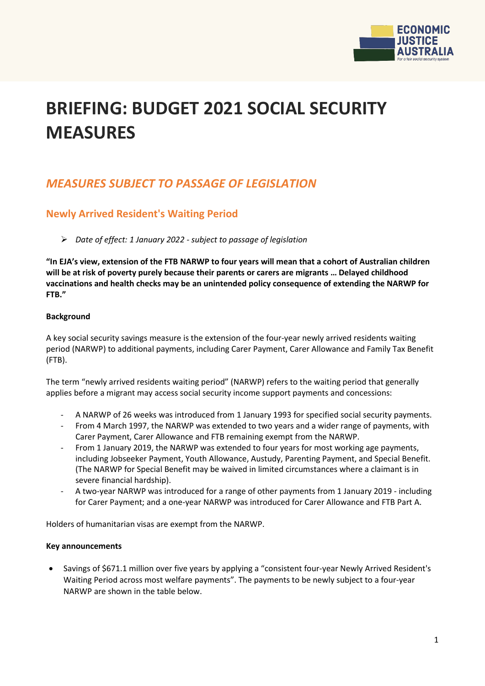

# **BRIEFING: BUDGET 2021 SOCIAL SECURITY MEASURES**

# *MEASURES SUBJECT TO PASSAGE OF LEGISLATION*

### **Newly Arrived Resident's Waiting Period**

*Date of effect: 1 January 2022 - subject to passage of legislation*

**"In EJA's view, extension of the FTB NARWP to four years will mean that a cohort of Australian children will be at risk of poverty purely because their parents or carers are migrants … Delayed childhood vaccinations and health checks may be an unintended policy consequence of extending the NARWP for FTB."**

### **Background**

A key social security savings measure is the extension of the four-year newly arrived residents waiting period (NARWP) to additional payments, including Carer Payment, Carer Allowance and Family Tax Benefit (FTB).

The term "newly arrived residents waiting period" (NARWP) refers to the waiting period that generally applies before a migrant may access social security income support payments and concessions:

- A NARWP of 26 weeks was introduced from 1 January 1993 for specified social security payments.
- From 4 March 1997, the NARWP was extended to two years and a wider range of payments, with Carer Payment, Carer Allowance and FTB remaining exempt from the NARWP.
- From 1 January 2019, the NARWP was extended to four years for most working age payments, including Jobseeker Payment, Youth Allowance, Austudy, Parenting Payment, and Special Benefit. (The NARWP for Special Benefit may be waived in limited circumstances where a claimant is in severe financial hardship).
- A two-year NARWP was introduced for a range of other payments from 1 January 2019 including for Carer Payment; and a one-year NARWP was introduced for Carer Allowance and FTB Part A.

Holders of humanitarian visas are exempt from the NARWP.

### **Key announcements**

• Savings of \$671.1 million over five years by applying a "consistent four-year Newly Arrived Resident's Waiting Period across most welfare payments". The payments to be newly subject to a four-year NARWP are shown in the table below.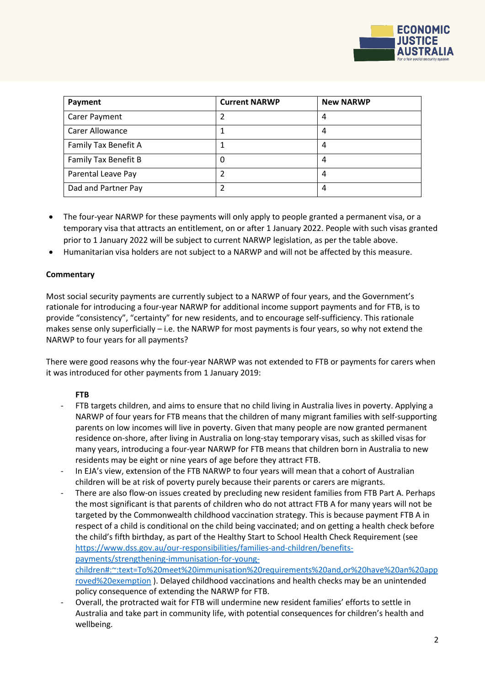

| Payment                | <b>Current NARWP</b> | <b>New NARWP</b> |
|------------------------|----------------------|------------------|
| Carer Payment          | 2                    | 4                |
| <b>Carer Allowance</b> |                      | 4                |
| Family Tax Benefit A   |                      | 4                |
| Family Tax Benefit B   | 0                    | 4                |
| Parental Leave Pay     | 2                    | 4                |
| Dad and Partner Pay    |                      | 4                |

- The four-year NARWP for these payments will only apply to people granted a permanent visa, or a temporary visa that attracts an entitlement, on or after 1 January 2022. People with such visas granted prior to 1 January 2022 will be subject to current NARWP legislation, as per the table above.
- Humanitarian visa holders are not subject to a NARWP and will not be affected by this measure.

### **Commentary**

Most social security payments are currently subject to a NARWP of four years, and the Government's rationale for introducing a four-year NARWP for additional income support payments and for FTB, is to provide "consistency", "certainty" for new residents, and to encourage self-sufficiency. This rationale makes sense only superficially – i.e. the NARWP for most payments is four years, so why not extend the NARWP to four years for all payments?

There were good reasons why the four-year NARWP was not extended to FTB or payments for carers when it was introduced for other payments from 1 January 2019:

### **FTB**

- FTB targets children, and aims to ensure that no child living in Australia lives in poverty. Applying a NARWP of four years for FTB means that the children of many migrant families with self-supporting parents on low incomes will live in poverty. Given that many people are now granted permanent residence on-shore, after living in Australia on long-stay temporary visas, such as skilled visas for many years, introducing a four-year NARWP for FTB means that children born in Australia to new residents may be eight or nine years of age before they attract FTB.
- In EJA's view, extension of the FTB NARWP to four years will mean that a cohort of Australian children will be at risk of poverty purely because their parents or carers are migrants.
- There are also flow-on issues created by precluding new resident families from FTB Part A. Perhaps the most significant is that parents of children who do not attract FTB A for many years will not be targeted by the Commonwealth childhood vaccination strategy. This is because payment FTB A in respect of a child is conditional on the child being vaccinated; and on getting a health check before the child's fifth birthday, as part of the Healthy Start to School Health Check Requirement (see [https://www.dss.gov.au/our-responsibilities/families-and-children/benefits](https://www.dss.gov.au/our-responsibilities/families-and-children/benefits-payments/strengthening-immunisation-for-young-children#:%7E:text=To%20meet%20immunisation%20requirements%20and,or%20have%20an%20approved%20exemption)[payments/strengthening-immunisation-for-young](https://www.dss.gov.au/our-responsibilities/families-and-children/benefits-payments/strengthening-immunisation-for-young-children#:%7E:text=To%20meet%20immunisation%20requirements%20and,or%20have%20an%20approved%20exemption)[children#:~:text=To%20meet%20immunisation%20requirements%20and,or%20have%20an%20app](https://www.dss.gov.au/our-responsibilities/families-and-children/benefits-payments/strengthening-immunisation-for-young-children#:%7E:text=To%20meet%20immunisation%20requirements%20and,or%20have%20an%20approved%20exemption) [roved%20exemption](https://www.dss.gov.au/our-responsibilities/families-and-children/benefits-payments/strengthening-immunisation-for-young-children#:%7E:text=To%20meet%20immunisation%20requirements%20and,or%20have%20an%20approved%20exemption) ). Delayed childhood vaccinations and health checks may be an unintended policy consequence of extending the NARWP for FTB.
- Overall, the protracted wait for FTB will undermine new resident families' efforts to settle in Australia and take part in community life, with potential consequences for children's health and wellbeing.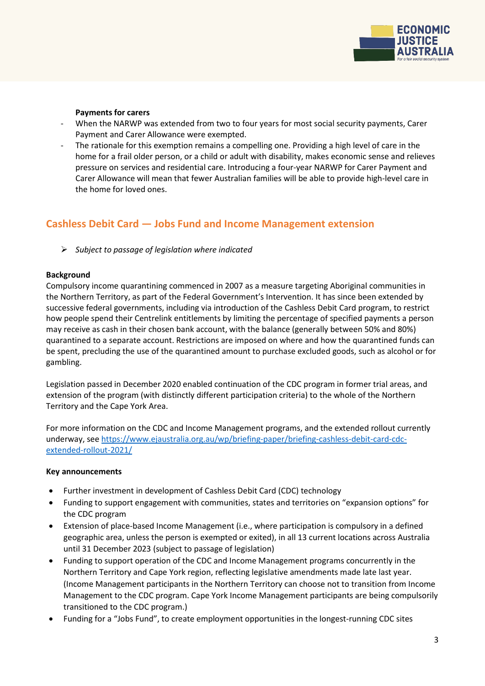

### **Payments for carers**

- When the NARWP was extended from two to four years for most social security payments, Carer Payment and Carer Allowance were exempted.
- The rationale for this exemption remains a compelling one. Providing a high level of care in the home for a frail older person, or a child or adult with disability, makes economic sense and relieves pressure on services and residential care. Introducing a four-year NARWP for Carer Payment and Carer Allowance will mean that fewer Australian families will be able to provide high-level care in the home for loved ones.

### **Cashless Debit Card — Jobs Fund and Income Management extension**

*Subject to passage of legislation where indicated*

### **Background**

Compulsory income quarantining commenced in 2007 as a measure targeting Aboriginal communities in the Northern Territory, as part of the Federal Government's Intervention. It has since been extended by successive federal governments, including via introduction of the Cashless Debit Card program, to restrict how people spend their Centrelink entitlements by limiting the percentage of specified payments a person may receive as cash in their chosen bank account, with the balance (generally between 50% and 80%) quarantined to a separate account. Restrictions are imposed on where and how the quarantined funds can be spent, precluding the use of the quarantined amount to purchase excluded goods, such as alcohol or for gambling.

Legislation passed in December 2020 enabled continuation of the CDC program in former trial areas, and extension of the program (with distinctly different participation criteria) to the whole of the Northern Territory and the Cape York Area.

For more information on the CDC and Income Management programs, and the extended rollout currently underway, se[e https://www.ejaustralia.org.au/wp/briefing-paper/briefing-cashless-debit-card-cdc](https://www.ejaustralia.org.au/wp/briefing-paper/briefing-cashless-debit-card-cdc-extended-rollout-2021/)[extended-rollout-2021/](https://www.ejaustralia.org.au/wp/briefing-paper/briefing-cashless-debit-card-cdc-extended-rollout-2021/)

### **Key announcements**

- Further investment in development of Cashless Debit Card (CDC) technology
- Funding to support engagement with communities, states and territories on "expansion options" for the CDC program
- Extension of place-based Income Management (i.e., where participation is compulsory in a defined geographic area, unless the person is exempted or exited), in all 13 current locations across Australia until 31 December 2023 (subject to passage of legislation)
- Funding to support operation of the CDC and Income Management programs concurrently in the Northern Territory and Cape York region, reflecting legislative amendments made late last year. (Income Management participants in the Northern Territory can choose not to transition from Income Management to the CDC program. Cape York Income Management participants are being compulsorily transitioned to the CDC program.)
- Funding for a "Jobs Fund", to create employment opportunities in the longest-running CDC sites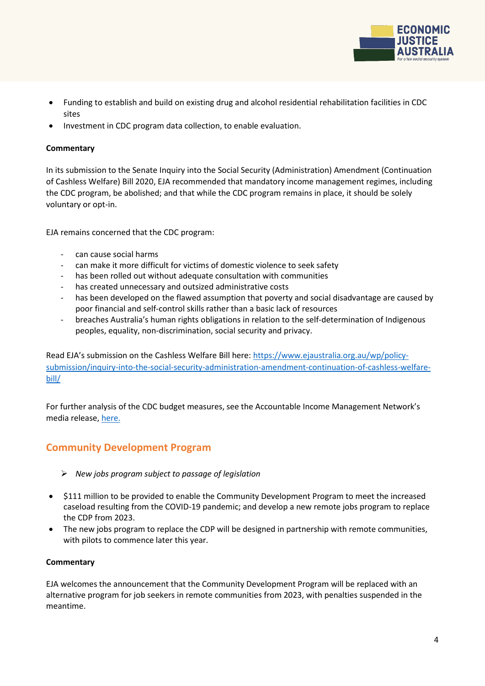

- Funding to establish and build on existing drug and alcohol residential rehabilitation facilities in CDC sites
- Investment in CDC program data collection, to enable evaluation.

### **Commentary**

In its submission to the Senate Inquiry into the Social Security (Administration) Amendment (Continuation of Cashless Welfare) Bill 2020, EJA recommended that mandatory income management regimes, including the CDC program, be abolished; and that while the CDC program remains in place, it should be solely voluntary or opt-in.

EJA remains concerned that the CDC program:

- can cause social harms
- can make it more difficult for victims of domestic violence to seek safety
- has been rolled out without adequate consultation with communities
- has created unnecessary and outsized administrative costs
- has been developed on the flawed assumption that poverty and social disadvantage are caused by poor financial and self-control skills rather than a basic lack of resources
- breaches Australia's human rights obligations in relation to the self-determination of Indigenous peoples, equality, non-discrimination, social security and privacy.

Read EJA's submission on the Cashless Welfare Bill here: [https://www.ejaustralia.org.au/wp/policy](https://www.ejaustralia.org.au/wp/policy-submission/inquiry-into-the-social-security-administration-amendment-continuation-of-cashless-welfare-bill/)[submission/inquiry-into-the-social-security-administration-amendment-continuation-of-cashless-welfare](https://www.ejaustralia.org.au/wp/policy-submission/inquiry-into-the-social-security-administration-amendment-continuation-of-cashless-welfare-bill/)[bill/](https://www.ejaustralia.org.au/wp/policy-submission/inquiry-into-the-social-security-administration-amendment-continuation-of-cashless-welfare-bill/) 

For further analysis of the CDC budget measures, see the Accountable Income Management Network's media release[, here.](https://accountableincomemanagementnetwork.files.wordpress.com/2021/05/20210514-aimn-media-release-federal-budget-2021-22-1.pdf)

### **Community Development Program**

- *New jobs program subject to passage of legislation*
- \$111 million to be provided to enable the Community Development Program to meet the increased caseload resulting from the COVID-19 pandemic; and develop a new remote jobs program to replace the CDP from 2023.
- The new jobs program to replace the CDP will be designed in partnership with remote communities, with pilots to commence later this year.

### **Commentary**

EJA welcomes the announcement that the Community Development Program will be replaced with an alternative program for job seekers in remote communities from 2023, with penalties suspended in the meantime.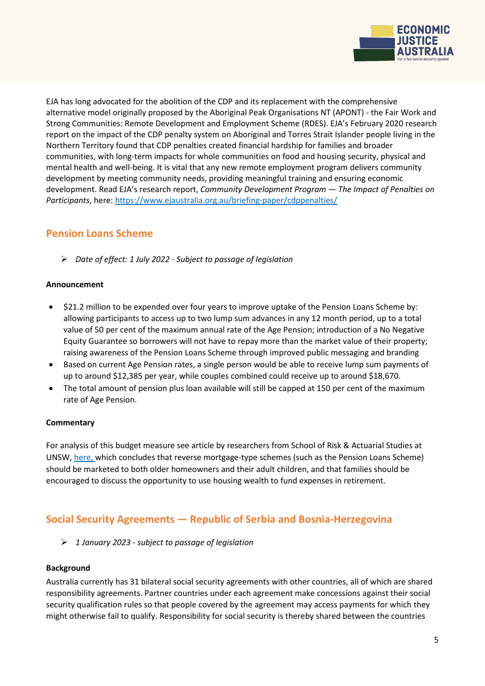

EJA has long advocated for the abolition of the CDP and its replacement with the comprehensive alternative model originally proposed by the Aboriginal Peak Organisations NT (APONT) - the Fair Work and Strong Communities: Remote Development and Employment Scheme (RDES). EJA's February 2020 research report on the impact of the CDP penalty system on Aboriginal and Torres Strait Islander people living in the Northern Territory found that CDP penalties created financial hardship for families and broader communities, with long-term impacts for whole communities on food and housing security, physical and mental health and well-being. It is vital that any new remote employment program delivers community development by meeting community needs, providing meaningful training and ensuring economic development. Read EJA's research report, *Community Development Program — The Impact of Penalties on Participants*, here:<https://www.ejaustralia.org.au/briefing-paper/cdppenalties/>

# **Pension Loans Scheme**

*Date of effect: 1 July 2022 - Subject to passage of legislation*

### **Announcement**

- \$21.2 million to be expended over four years to improve uptake of the Pension Loans Scheme by: allowing participants to access up to two lump sum advances in any 12 month period, up to a total value of 50 per cent of the maximum annual rate of the Age Pension; introduction of a No Negative Equity Guarantee so borrowers will not have to repay more than the market value of their property; raising awareness of the Pension Loans Scheme through improved public messaging and branding
- Based on current Age Pension rates, a single person would be able to receive lump sum payments of up to around \$12,385 per year, while couples combined could receive up to around \$18,670.
- The total amount of pension plus loan available will still be capped at 150 per cent of the maximum rate of Age Pension.

### **Commentary**

For analysis of this budget measure see article by researchers from School of Risk & Actuarial Studies at UNSW, [here,](https://newsroom.unsw.edu.au/news/business-law/budget-changes-make-pension-loans-scheme-more-attractive-senior-homeowners) which concludes that reverse mortgage-type schemes (such as the Pension Loans Scheme) should be marketed to both older homeowners and their adult children, and that families should be encouraged to discuss the opportunity to use housing wealth to fund expenses in retirement.

# **Social Security Agreements — Republic of Serbia and Bosnia-Herzegovina**

*1 January 2023 - subject to passage of legislation*

### **Background**

Australia currently has 31 bilateral social security agreements with other countries, all of which are shared responsibility agreements. Partner countries under each agreement make concessions against their social security qualification rules so that people covered by the agreement may access payments for which they might otherwise fail to qualify. Responsibility for social security is thereby shared between the countries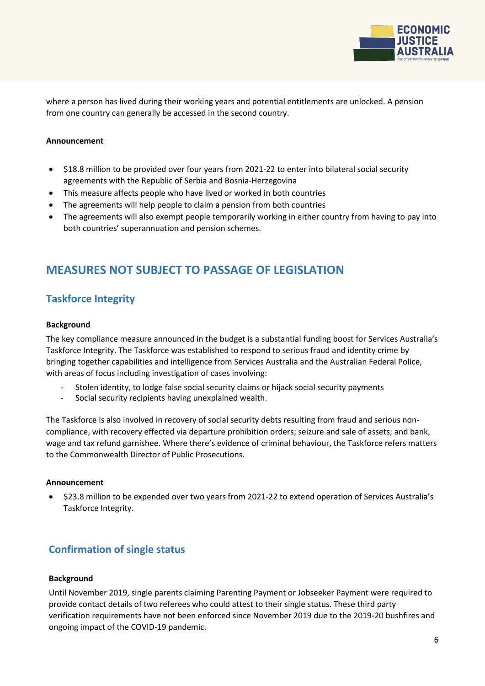

where a person has lived during their working years and potential entitlements are unlocked. A pension from one country can generally be accessed in the second country.

### **Announcement**

- \$18.8 million to be provided over four years from 2021-22 to enter into bilateral social security agreements with the Republic of Serbia and Bosnia-Herzegovina
- This measure affects people who have lived or worked in both countries
- The agreements will help people to claim a pension from both countries
- The agreements will also exempt people temporarily working in either country from having to pay into both countries' superannuation and pension schemes.

# **MEASURES NOT SUBJECT TO PASSAGE OF LEGISLATION**

### **Taskforce Integrity**

#### **Background**

The key compliance measure announced in the budget is a substantial funding boost for Services Australia's Taskforce Integrity. The Taskforce was established to respond to serious fraud and identity crime by bringing together capabilities and intelligence from Services Australia and the Australian Federal Police, with areas of focus including investigation of cases involving:

- Stolen identity, to lodge false social security claims or hijack social security payments
- Social security recipients having unexplained wealth.

The Taskforce is also involved in recovery of social security debts resulting from fraud and serious noncompliance, with recovery effected via departure prohibition orders; seizure and sale of assets; and bank, wage and tax refund garnishee. Where there's evidence of criminal behaviour, the Taskforce refers matters to the Commonwealth Director of Public Prosecutions.

#### **Announcement**

• \$23.8 million to be expended over two years from 2021-22 to extend operation of Services Australia's Taskforce Integrity.

### **Confirmation of single status**

### **Background**

Until November 2019, single parents claiming Parenting Payment or Jobseeker Payment were required to provide contact details of two referees who could attest to their single status. These third party verification requirements have not been enforced since November 2019 due to the 2019-20 bushfires and ongoing impact of the COVID-19 pandemic.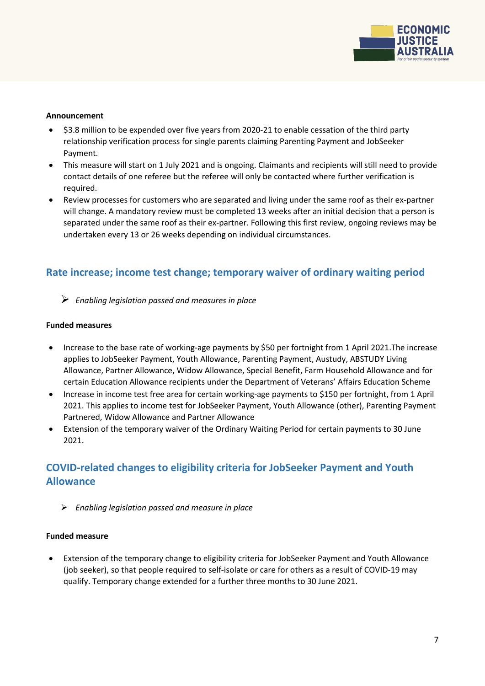

### **Announcement**

- \$3.8 million to be expended over five years from 2020-21 to enable cessation of the third party relationship verification process for single parents claiming Parenting Payment and JobSeeker Payment.
- This measure will start on 1 July 2021 and is ongoing. Claimants and recipients will still need to provide contact details of one referee but the referee will only be contacted where further verification is required.
- Review processes for customers who are separated and living under the same roof as their ex-partner will change. A mandatory review must be completed 13 weeks after an initial decision that a person is separated under the same roof as their ex-partner. Following this first review, ongoing reviews may be undertaken every 13 or 26 weeks depending on individual circumstances.

### **Rate increase; income test change; temporary waiver of ordinary waiting period**

*Enabling legislation passed and measures in place*

### **Funded measures**

- Increase to the base rate of working-age payments by \$50 per fortnight from 1 April 2021.The increase applies to JobSeeker Payment, Youth Allowance, Parenting Payment, Austudy, ABSTUDY Living Allowance, Partner Allowance, Widow Allowance, Special Benefit, Farm Household Allowance and for certain Education Allowance recipients under the Department of Veterans' Affairs Education Scheme
- Increase in income test free area for certain working-age payments to \$150 per fortnight, from 1 April 2021. This applies to income test for JobSeeker Payment, Youth Allowance (other), Parenting Payment Partnered, Widow Allowance and Partner Allowance
- Extension of the temporary waiver of the Ordinary Waiting Period for certain payments to 30 June 2021.

# **COVID-related changes to eligibility criteria for JobSeeker Payment and Youth Allowance**

*Enabling legislation passed and measure in place*

### **Funded measure**

• Extension of the temporary change to eligibility criteria for JobSeeker Payment and Youth Allowance (job seeker), so that people required to self-isolate or care for others as a result of COVID-19 may qualify. Temporary change extended for a further three months to 30 June 2021.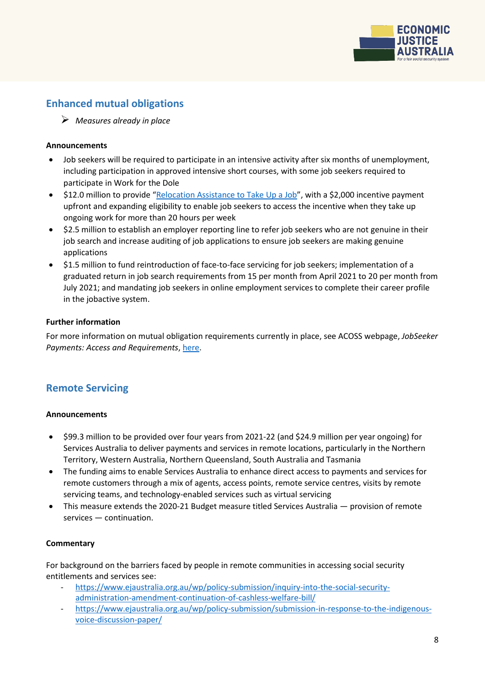

# **Enhanced mutual obligations**

*Measures already in place* 

### **Announcements**

- Job seekers will be required to participate in an intensive activity after six months of unemployment, including participation in approved intensive short courses, with some job seekers required to participate in Work for the Dole
- \$12.0 million to provide ["Relocation Assistance to Take Up a Job"](https://www.dese.gov.au/rattuaj), with a \$2,000 incentive payment upfront and expanding eligibility to enable job seekers to access the incentive when they take up ongoing work for more than 20 hours per week
- \$2.5 million to establish an employer reporting line to refer job seekers who are not genuine in their job search and increase auditing of job applications to ensure job seekers are making genuine applications
- \$1.5 million to fund reintroduction of face-to-face servicing for job seekers; implementation of a graduated return in job search requirements from 15 per month from April 2021 to 20 per month from July 2021; and mandating job seekers in online employment services to complete their career profile in the jobactive system.

### **Further information**

For more information on mutual obligation requirements currently in place, see ACOSS webpage, *JobSeeker*  **Payments: Access and Requirements, [here.](https://www.acoss.org.au/information-on-accessing-income-support-centrelink-payments/)** 

### **Remote Servicing**

### **Announcements**

- \$99.3 million to be provided over four years from 2021-22 (and \$24.9 million per year ongoing) for Services Australia to deliver payments and services in remote locations, particularly in the Northern Territory, Western Australia, Northern Queensland, South Australia and Tasmania
- The funding aims to enable Services Australia to enhance direct access to payments and services for remote customers through a mix of agents, access points, remote service centres, visits by remote servicing teams, and technology-enabled services such as virtual servicing
- This measure extends the 2020-21 Budget measure titled Services Australia provision of remote services — continuation.

### **Commentary**

For background on the barriers faced by people in remote communities in accessing social security entitlements and services see:

- [https://www.ejaustralia.org.au/wp/policy-submission/inquiry-into-the-social-security](https://www.ejaustralia.org.au/wp/policy-submission/inquiry-into-the-social-security-administration-amendment-continuation-of-cashless-welfare-bill/)[administration-amendment-continuation-of-cashless-welfare-bill/](https://www.ejaustralia.org.au/wp/policy-submission/inquiry-into-the-social-security-administration-amendment-continuation-of-cashless-welfare-bill/)
- [https://www.ejaustralia.org.au/wp/policy-submission/submission-in-response-to-the-indigenous](https://www.ejaustralia.org.au/wp/policy-submission/submission-in-response-to-the-indigenous-voice-discussion-paper/)[voice-discussion-paper/](https://www.ejaustralia.org.au/wp/policy-submission/submission-in-response-to-the-indigenous-voice-discussion-paper/)